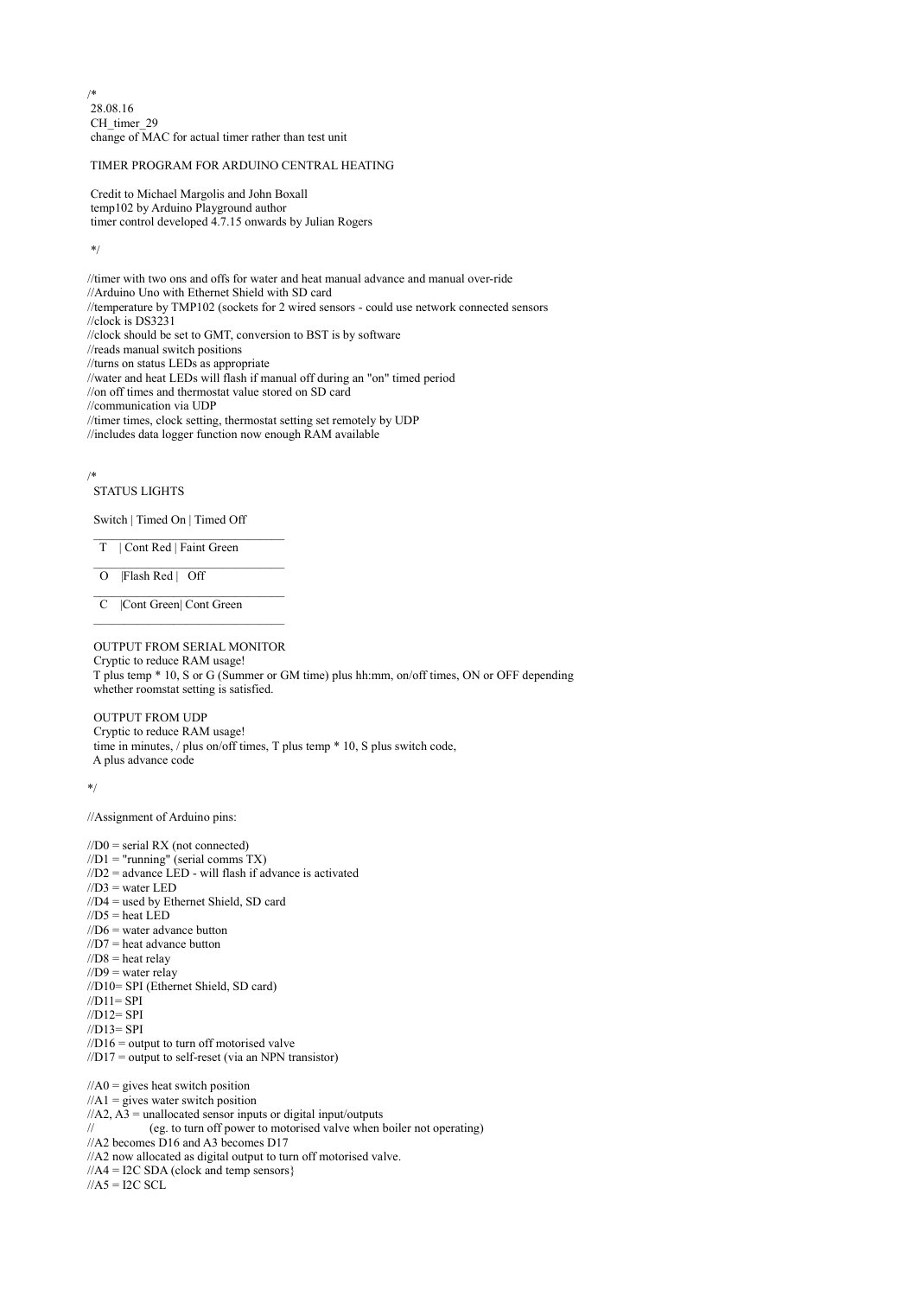/\* 28.08.16 CH timer 29 change of MAC for actual timer rather than test unit

TIMER PROGRAM FOR ARDUINO CENTRAL HEATING

 Credit to Michael Margolis and John Boxall temp102 by Arduino Playground author timer control developed 4.7.15 onwards by Julian Rogers

\*/

//timer with two ons and offs for water and heat manual advance and manual over-ride //Arduino Uno with Ethernet Shield with SD card //temperature by TMP102 (sockets for 2 wired sensors - could use network connected sensors //clock is DS3231 //clock should be set to GMT, conversion to BST is by software //reads manual switch positions //turns on status LEDs as appropriate //water and heat LEDs will flash if manual off during an "on" timed period //on off times and thermostat value stored on SD card //communication via UDP //timer times, clock setting, thermostat setting set remotely by UDP

//includes data logger function now enough RAM available

## /\*

## STATUS LIGHTS

Switch | Timed On | Timed Off

 $\frac{1}{2}$  , and the set of the set of the set of the set of the set of the set of the set of the set of the set of the set of the set of the set of the set of the set of the set of the set of the set of the set of the set T | Cont Red | Faint Green

 $\frac{1}{2}$  , and the set of the set of the set of the set of the set of the set of the set of the set of the set of the set of the set of the set of the set of the set of the set of the set of the set of the set of the set O | Flash Red | Off

C |Cont Green| Cont Green

 $\frac{1}{2}$  , and the set of the set of the set of the set of the set of the set of the set of the set of the set of the set of the set of the set of the set of the set of the set of the set of the set of the set of the set

 $\frac{1}{2}$  , and the set of the set of the set of the set of the set of the set of the set of the set of the set of the set of the set of the set of the set of the set of the set of the set of the set of the set of the set

 OUTPUT FROM SERIAL MONITOR Cryptic to reduce RAM usage! T plus temp \* 10, S or G (Summer or GM time) plus hh:mm, on/off times, ON or OFF depending whether roomstat setting is satisfied.

 OUTPUT FROM UDP Cryptic to reduce RAM usage! time in minutes, / plus on/off times, T plus temp \* 10, S plus switch code, A plus advance code

\*/

//Assignment of Arduino pins:

- $//D0 = serial RX (not connected)$
- $//D1 = "running"$  (serial comms TX)  $//D2$  = advance LED - will flash if advance is activated
- $/1/D3$  = water LED
- //D4 = used by Ethernet Shield, SD card
- $<sub>I</sub>/D5$  = heat LED</sub>
- $//D6 = water advance button$
- $//D7$  = heat advance button
- $//D8 = heat$  relay
- $//D9 = water$  relay
- //D10= SPI (Ethernet Shield, SD card)
- $//D11=$  SPI
- //D12= SPI
- $//D13 = SPI$
- $//D16 =$  output to turn off motorised valve
- $//D17 = output to self-reset (via an NPN transistor)$

 $//A0 = gives heat switch position$ 

- $//A1 = gives water switch position$
- $//A2, A3$  = unallocated sensor inputs or digital input/outputs  $//$  (eq. to turn off power to motorised value when  $\frac{1}{2}$ // (eg. to turn off power to motorised valve when boiler not operating)
- //A2 becomes D16 and A3 becomes D17
- //A2 now allocated as digital output to turn off motorised valve.
- $//AA = I2C SDA (clock and temp sensors)$
- $//A5 = I2C$  SCL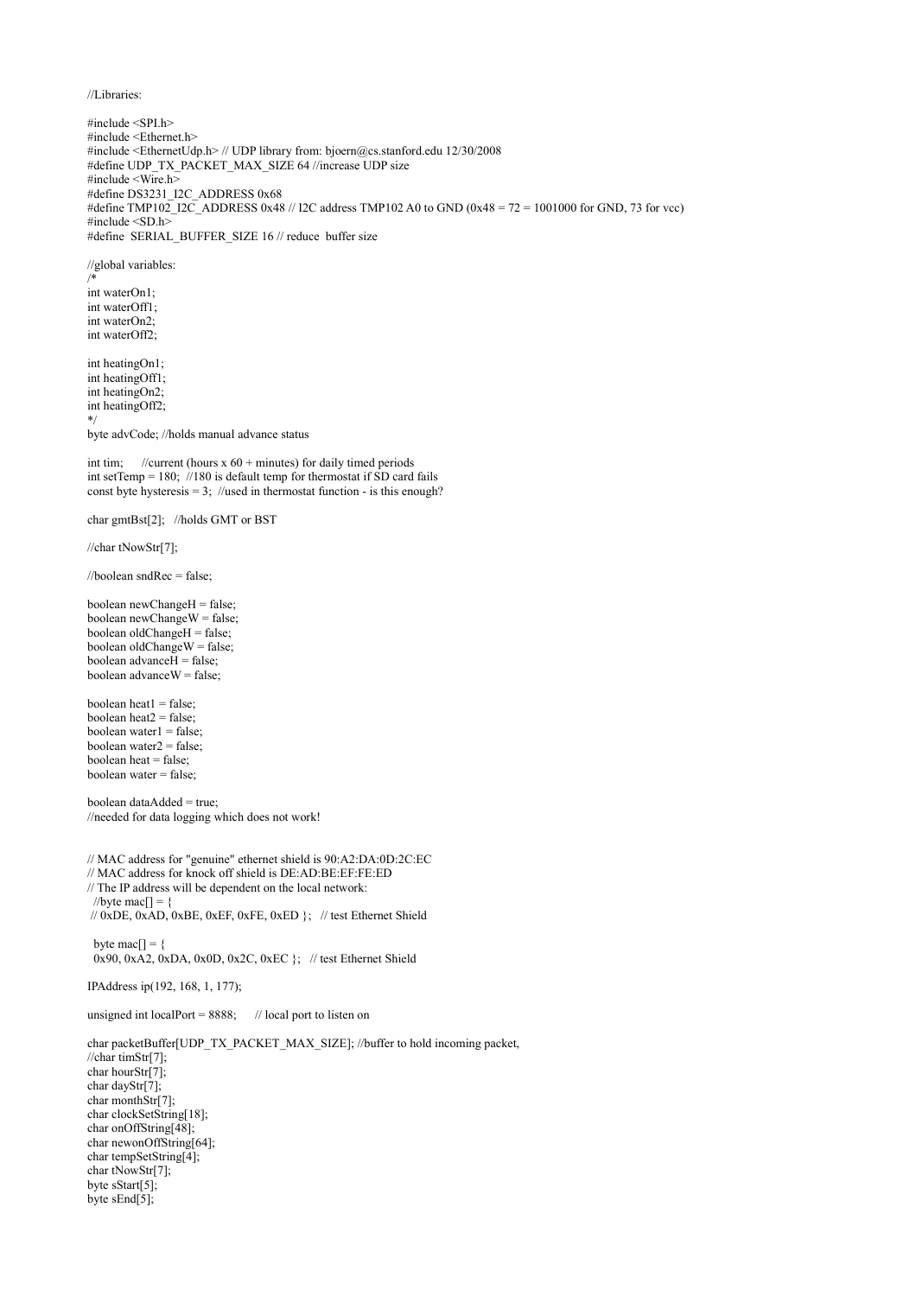//Libraries:

#include <SPI.h> #include <Ethernet.h> #include <EthernetUdp.h> // UDP library from: bjoern@cs.stanford.edu 12/30/2008 #define UDP\_TX\_PACKET\_MAX\_SIZE 64 //increase UDP size #include <Wire.h> #define DS3231\_I2C\_ADDRESS 0x68 #define TMP102\_I2C\_ADDRESS 0x48 // I2C address TMP102 A0 to GND (0x48 = 72 = 1001000 for GND, 73 for vcc) #include <SD.h> #define SERIAL\_BUFFER\_SIZE 16 // reduce buffer size //global variables: /\* int waterOn1; int waterOff1; int waterOn2; int waterOff2; int heatingOn1; int heatingOff1; int heatingOn2; int heatingOff2; \*/ byte advCode; //holds manual advance status int tim; //current (hours  $x$  60 + minutes) for daily timed periods int setTemp = 180; //180 is default temp for thermostat if SD card fails const byte hysteresis =  $3$ ; //used in thermostat function - is this enough? char gmtBst[2]; //holds GMT or BST //char tNowStr[7];  $//boolean sndRec = false;$ boolean newChangeH = false; boolean newChangeW =  $false$ ; boolean oldChangeH = false; boolean oldChangeW = false; boolean advance $H = false$ ; boolean advance $W = false$ ; boolean heat1 = false; boolean heat $2$  = false; boolean water $1 =$  false boolean water $2$  = false; boolean heat = false; boolean water = false; boolean dataAdded = true; //needed for data logging which does not work! // MAC address for "genuine" ethernet shield is 90:A2:DA:0D:2C:EC // MAC address for knock off shield is DE:AD:BE:EF:FE:ED // The IP address will be dependent on the local network: //byte mac $[] = \{$  $// 0xDE, 0xAD, 0xBE, 0xEF, 0xFE, 0xED$  }; // test Ethernet Shield byte mac $[] = \{$  0x90, 0xA2, 0xDA, 0x0D, 0x2C, 0xEC }; // test Ethernet Shield IPAddress ip(192, 168, 1, 177); unsigned int localPort =  $8888$ ; // local port to listen on char packetBuffer[UDP\_TX\_PACKET\_MAX\_SIZE]; //buffer to hold incoming packet, //char timStr[7]; char hourStr[7]: char dayStr[7]; char monthStr[7]; char clockSetString[18]; char onOffString[48]; char newonOffString[64]; char tempSetString[4]; char tNowStr[7]; byte sStart[5]; byte sEnd[5];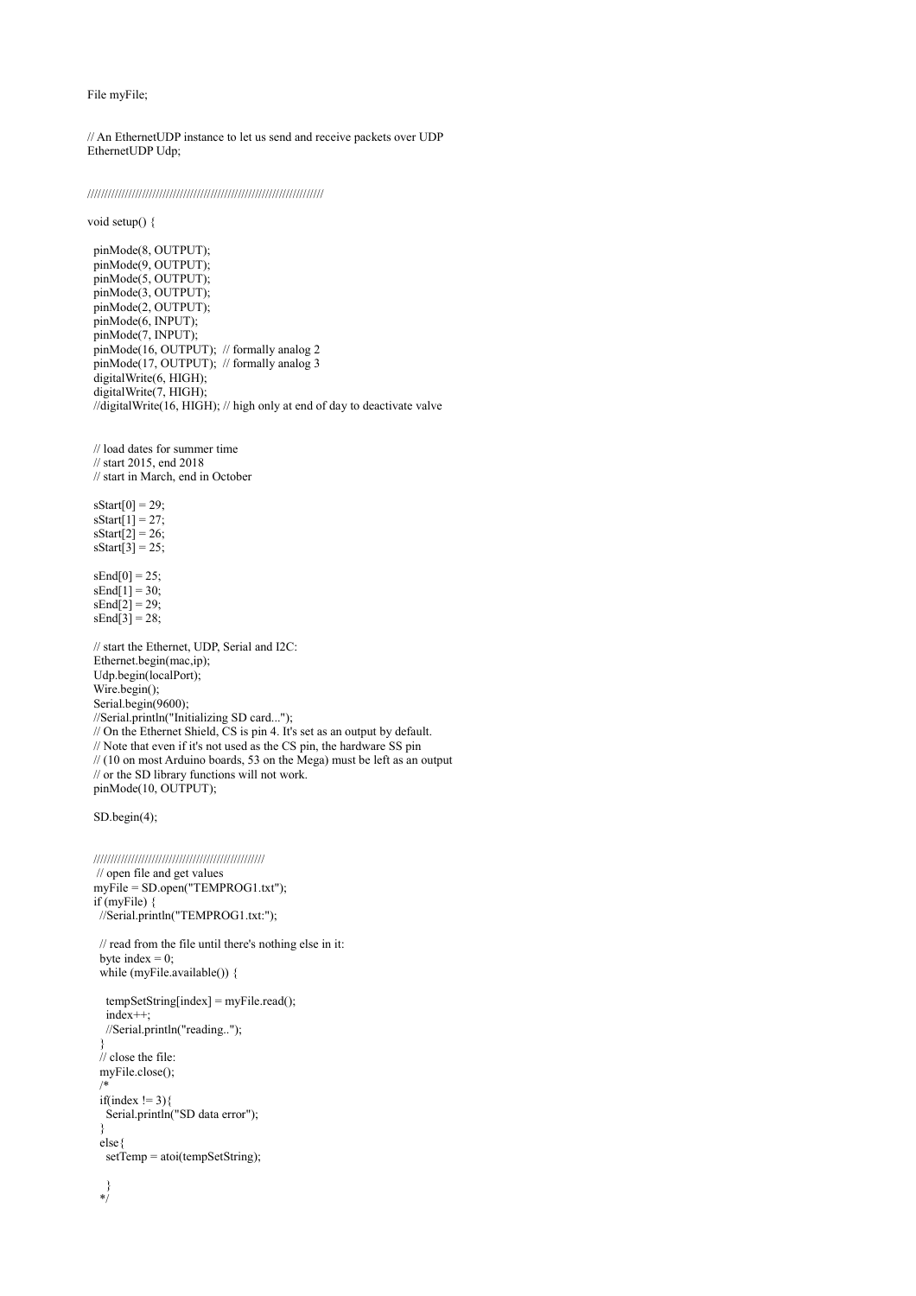## File myFile;

#### // An EthernetUDP instance to let us send and receive packets over UDP EthernetUDP Udp;

#### /////////////////////////////////////////////////////////////////////

void setup() {

```
 pinMode(8, OUTPUT); 
pinMode(9, OUTPUT);
 pinMode(5, OUTPUT);
 pinMode(3, OUTPUT);
 pinMode(2, OUTPUT);
 pinMode(6, INPUT);
 pinMode(7, INPUT);
 pinMode(16, OUTPUT); // formally analog 2
pinMode(17, OUTPUT); // formally analog 3
 digitalWrite(6, HIGH);
 digitalWrite(7, HIGH);
 //digitalWrite(16, HIGH); // high only at end of day to deactivate valve
 // load dates for summer time
 // start 2015, end 2018
 // start in March, end in October
sStart[0] = 29;sStart[1] = 27;sStart[2] = 26;sStart[3] = 25;sEnd[0] = 25; sEnd[1] = 30;
sEnd[2] = 29;sEnd[3] = 28; // start the Ethernet, UDP, Serial and I2C:
 Ethernet.begin(mac,ip);
 Udp.begin(localPort);
 Wire.begin();
Serial.begin(9600);
 //Serial.println("Initializing SD card...");
 // On the Ethernet Shield, CS is pin 4. It's set as an output by default.
 // Note that even if it's not used as the CS pin, the hardware SS pin 
 // (10 on most Arduino boards, 53 on the Mega) must be left as an output 
 // or the SD library functions will not work. 
 pinMode(10, OUTPUT);
 SD.begin(4);
```

```
 //////////////////////////////////////////////////
  // open file and get values
 myFile = SD.open("TEMPROG1.txt");
 if (myFile) {
   //Serial.println("TEMPROG1.txt:");
   // read from the file until there's nothing else in it:
  byte index = 0;
  while (myFile.available()) \{ tempSetString[index] = myFile.read();
    index++;
    //Serial.println("reading..");
 }
   // close the file:
   myFile.close();
   /*
  if(index != 3){
    Serial.println("SD data error"); 
   }
   else{
   setTemp = atoi(tempSetString);
```
 } \*/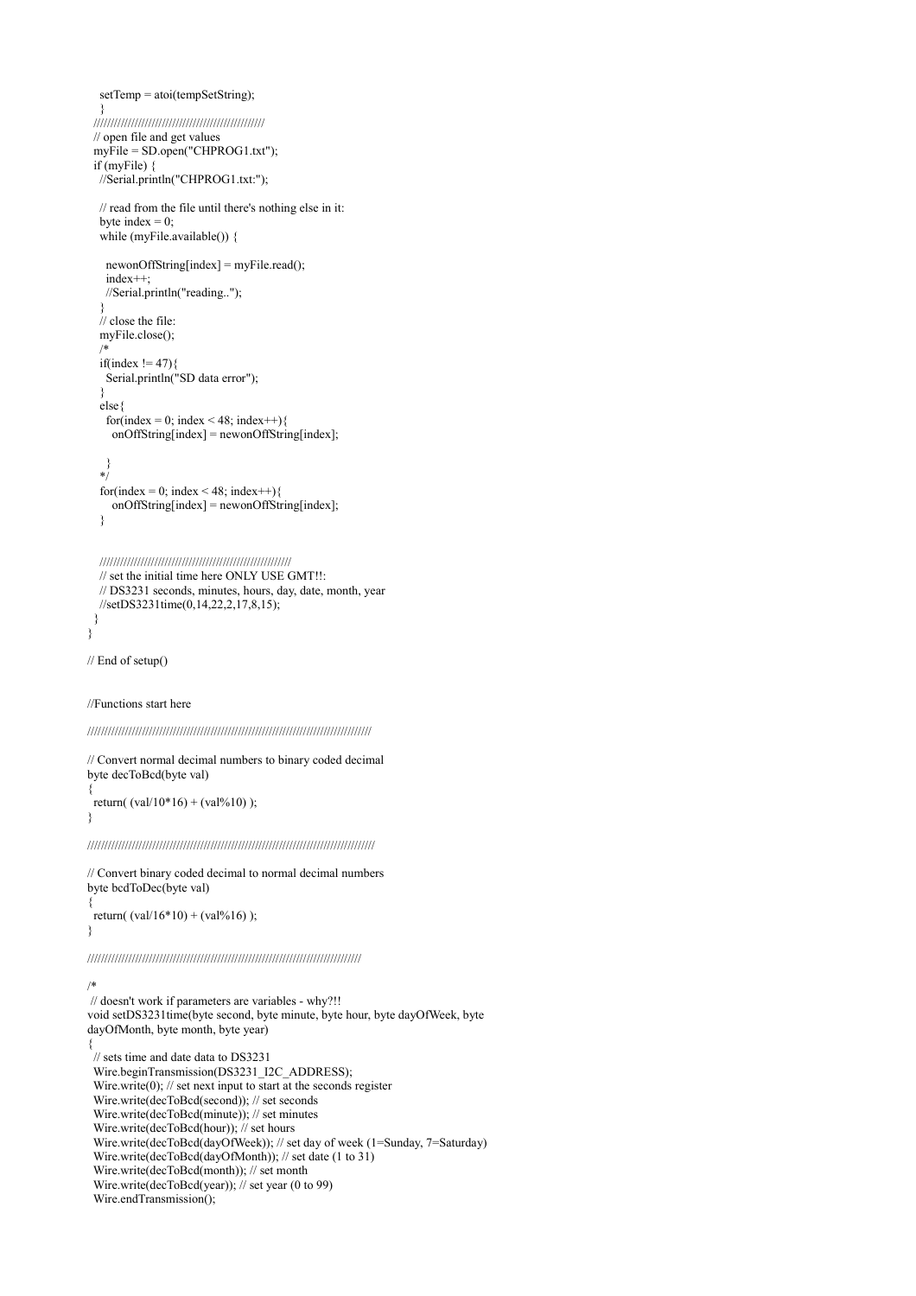```
setTemp = atoi(tempSetString);
 }
  //////////////////////////////////////////////////
  // open file and get values
  myFile = SD.open("CHPROG1.txt");
 if(myFile) {
   //Serial.println("CHPROG1.txt:");
   // read from the file until there's nothing else in it:
  byte index = 0;
   while (myFile.available()) {
    newonOffString[index] = myFile.read();
    index++;
    //Serial.println("reading..");
 }
  \hat{1} close the file:
   myFile.close();
 /*
  if(index != 47){
    Serial.println("SD data error"); 
 }
   else{
   for(index = 0; index < 48; index ++){
      onOffString[index] = newonOffString[index]; 
\qquad \} */
  for(index = 0; index < 48; index ++){
     onOffString[index] = newonOffString[index];
    }
   ////////////////////////////////////////////////////////
   // set the initial time here ONLY USE GMT!!:
   // DS3231 seconds, minutes, hours, day, date, month, year
   //setDS3231time(0,14,22,2,17,8,15);
  } 
}
// End of setup()
//Functions start here
///////////////////////////////////////////////////////////////////////////////////
// Convert normal decimal numbers to binary coded decimal
byte decToBcd(byte val)
{
 return(\text{(val/10*16)} + \text{(val\%10)});
}
////////////////////////////////////////////////////////////////////////////////////
// Convert binary coded decimal to normal decimal numbers
byte bcdToDec(byte val)
{
 return( (val/16*10) + (val%16) );
}
////////////////////////////////////////////////////////////////////////////////
/*
 // doesn't work if parameters are variables - why?!!
void setDS3231time(byte second, byte minute, byte hour, byte dayOfWeek, byte
dayOfMonth, byte month, byte year)
{
  // sets time and date data to DS3231
 Wire.beginTransmission(DS3231_I2C_ADDRESS);
 Wire.write(0); \theta set next input to start at the seconds register
  Wire.write(decToBcd(second)); // set seconds
  Wire.write(decToBcd(minute)); // set minutes
  Wire.write(decToBcd(hour)); // set hours
 Wire.write(decToBcd(dayOfWeek)); // set day of week (1=Sunday, 7=Saturday)
  Wire.write(decToBcd(dayOfMonth)); // set date (1 to 31)
  Wire.write(decToBcd(month)); // set month
  Wire.write(decToBcd(year)); // set year (0 to 99)
  Wire.endTransmission();
```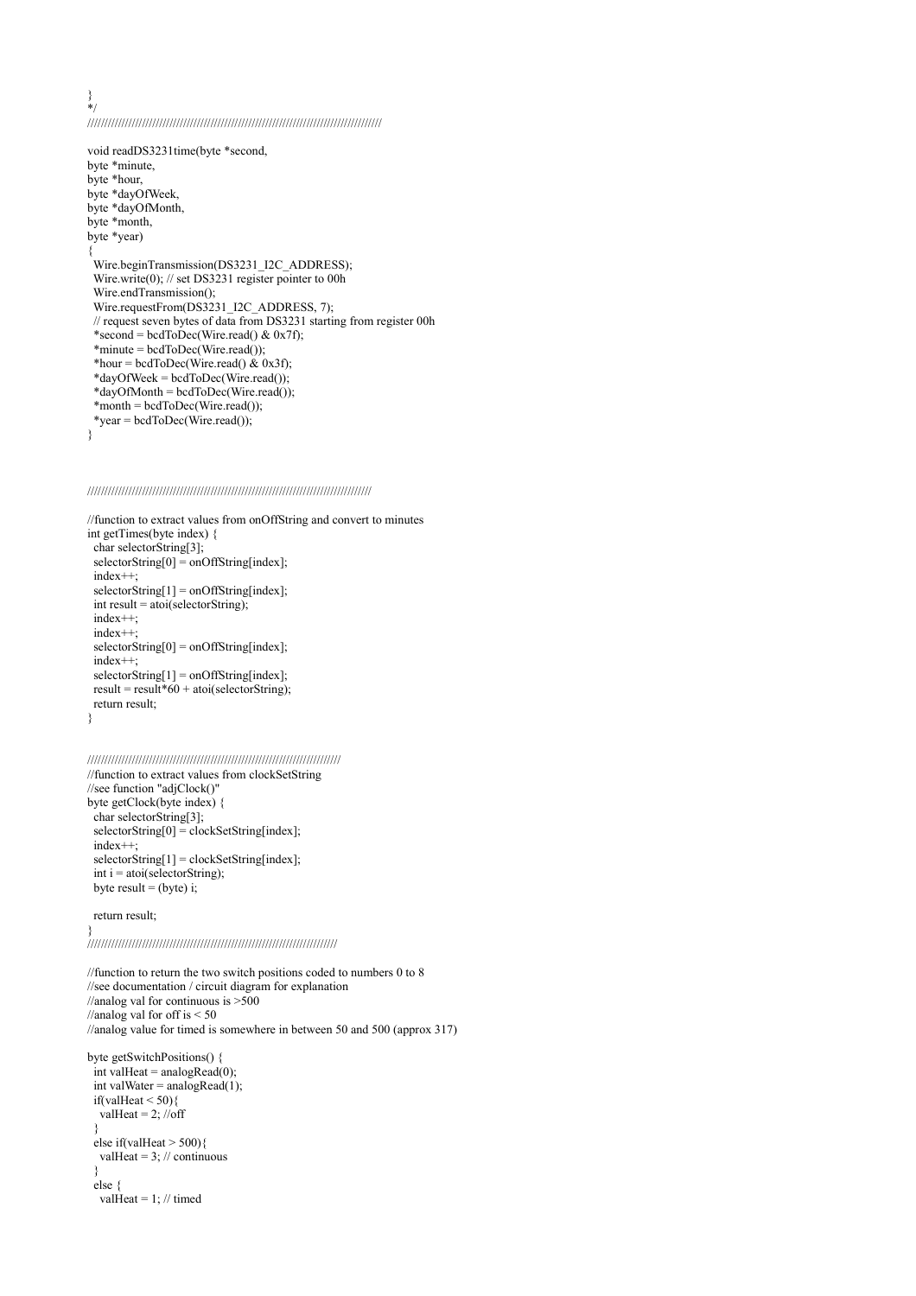```
}
*/
//////////////////////////////////////////////////////////////////////////////////////
```

```
void readDS3231time(byte *second,
byte *minute,
byte *hour,
byte *dayOfWeek,
byte *dayOfMonth,
byte *month,
byte *year)
{
  Wire.beginTransmission(DS3231_I2C_ADDRESS);
 Wire.write(0); \frac{1}{2} set DS3231 register pointer to 00h
  Wire.endTransmission();
  Wire.requestFrom(DS3231_I2C_ADDRESS, 7);
  // request seven bytes of data from DS3231 starting from register 00h
 *second = bcdToDec(Wire.read() & 0x7f);
 *minute = bcdToDec(Wire.read());
 *hour = bcdToDec(Wire.read() & 0x3f);
 *dayOfWeek = bcdToDec(Wire.read));
  *dayOfMonth = bcdToDec(Wire.read());
 *month = bcdToDec(Wire.read());
  *year = bcdToDec(Wire.read());
}
```
///////////////////////////////////////////////////////////////////////////////////

```
//function to extract values from onOffString and convert to minutes
int getTimes(byte index) {
 char selectorString[3];
 selectorString[0] = onOffString[index];index++ selectorString[1] = onOffString[index];
 \text{int} result = atoi(selectorString);
  index++;
 index++ selectorString[0] = onOffString[index];
  index++;
  selectorString[1] = onOffString[index];
 result = result*60 + atoi(self (set for String); return result;
}
```
////////////////////////////////////////////////////////////////////////// //function to extract values from clockSetString //see function "adjClock()" byte getClock(byte index) { char selectorString[3]; selectorString[0] = clockSetString[index];  $index++$  selectorString[1] = clockSetString[index];  $int i = atoi(self (setorString));$ 

byte result  $=$  (byte) i;

# return result;

```
}
/////////////////////////////////////////////////////////////////////////
```
//function to return the two switch positions coded to numbers 0 to 8 //see documentation / circuit diagram for explanation //analog val for continuous is  $>500$ //analog val for off is  $< 50$ //analog value for timed is somewhere in between 50 and 500 (approx 317) byte getSwitchPositions() { int valHeat = analogRead(0): int valWater = analogRead(1); if(valHeat  $<$  50) $\{$ valHeat =  $2$ ; //off } else if(valHeat > 500){ valHeat =  $3$ ; // continuous } else {

```
valHeat = 1; // timed
```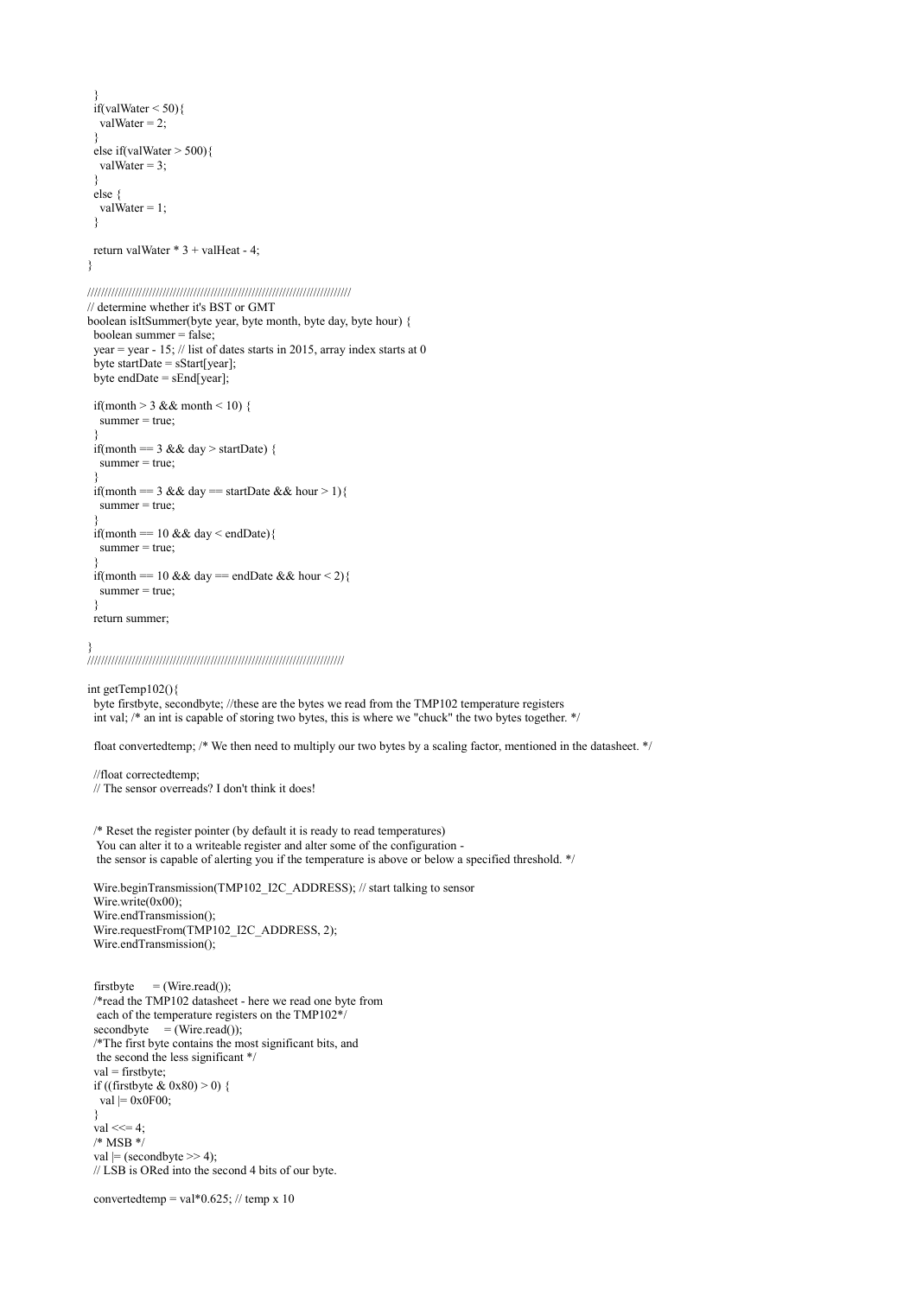```
if(valWater \le 50) {
  valWater = 2;
 else if(valWater > 500) {
  valWater = 3;
  else {
  valWater = 1;
  return valWater * 3 + valHeat - 4;
/////////////////////////////////////////////////////////////////////////////
// determine whether it's BST or GMT
boolean isItSummer(byte year, byte month, byte day, byte hour) {
  boolean summer = false;
 year = year - 15; // list of dates starts in 2015, array index starts at 0
 byte startDate = sStart[year];
 byte endDate = sEnd[year];
 if(month > 3 && month < 10) {
   summer = true;
 if(month = 3 & 3 & 4x > 3 startDate) {
  summer = true;
 if(month == 3 && day == startDate && hour > 1){
  summer = true;
 if(month = 10 \& \& \text{day} \le \text{endDate}){
  summer = true;
if(month == 10 && day == endDate && hour < 2){
  summer = true; return summer;
///////////////////////////////////////////////////////////////////////////
int getTemp102(){
  byte firstbyte, secondbyte; //these are the bytes we read from the TMP102 temperature registers
  int val; /* an int is capable of storing two bytes, this is where we "chuck" the two bytes together. */
  float convertedtemp; /* We then need to multiply our two bytes by a scaling factor, mentioned in the datasheet. */
  //float correctedtemp; 
  // The sensor overreads? I don't think it does! 
  /* Reset the register pointer (by default it is ready to read temperatures)
  You can alter it to a writeable register and alter some of the configuration - 
   the sensor is capable of alerting you if the temperature is above or below a specified threshold. */
 Wire.beginTransmission(TMP102_I2C_ADDRESS); // start talking to sensor
 Wire.write(0x00);
 Wire.endTransmission();
 Wire.requestFrom(TMP102_I2C_ADDRESS, 2);
  Wire.endTransmission();
 firstbyte = (Wire.read()); /*read the TMP102 datasheet - here we read one byte from
 each of the temperature registers on the TMP102*/
 secondbyte = (Wire.read()); /*The first byte contains the most significant bits, and 
   the second the less significant */
  val = firstbyte;
 if ((firstbyte \& 0x80) > 0) {
  val |= 0x0F00; } 
 \text{val} \ll 4;
 /* MSB */
 val |=(secondbyte >> 4);
  // LSB is ORed into the second 4 bits of our byte.
```

```
convertedtemp = val*0.625; // temp x 10
```
}

}

}

}

}

}

}

}

}

}

}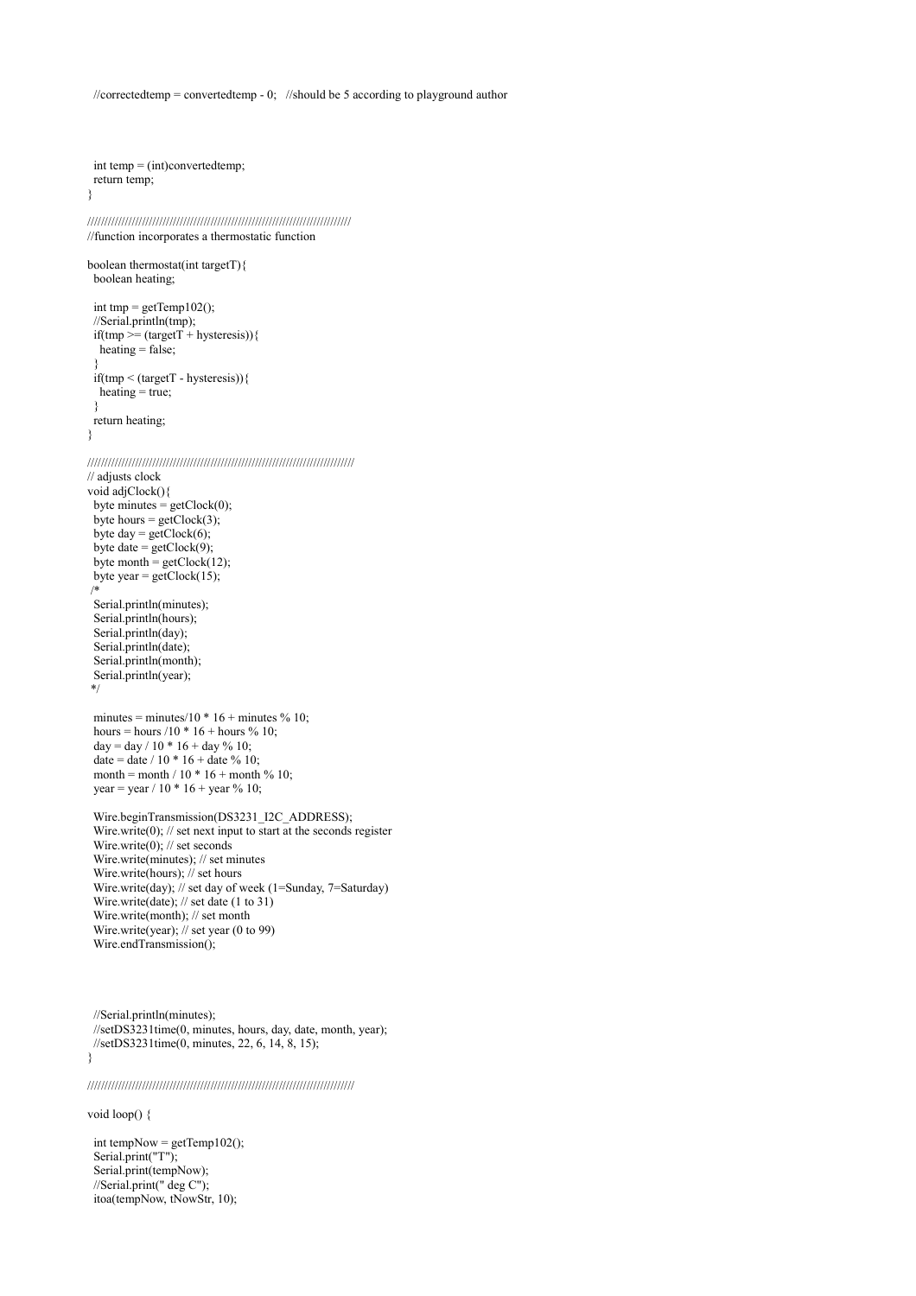//correctedtemp = convertedtemp - 0; //should be 5 according to playground author

 int temp = (int)convertedtemp; return temp; } ///////////////////////////////////////////////////////////////////////////// //function incorporates a thermostatic function boolean thermostat(int targetT){ boolean heating; int tmp =  $getTemp102()$ ; //Serial.println(tmp);  $if$ (tmp >= (targetT + hysteresis)){  $h_{\text{t}}(m_F)$  heating = false; }  $if$ (tmp < (targetT - hysteresis)) $\{$  heating = true; } return heating; } ////////////////////////////////////////////////////////////////////////////// // adjusts clock void adjClock(){ byte minutes  $=$  getClock(0); byte hours =  $getClock(3);$ byte day = getClock(6); byte date = getClock $(9)$ ; byte month =  $getClock(12)$ ; byte year = getClock $(15)$ ; /\* Serial.println(minutes); Serial.println(hours); Serial.println(day); Serial.println(date); Serial.println(month); Serial.println(year); \*/ minutes = minutes/10  $*$  16 + minutes % 10; hours = hours  $/10 * 16 +$  hours % 10; day = day / 10  $*$  16 + day % 10; date = date /  $10 * 16 +$  date % 10; month = month /  $10 * 16 +$  month % 10; year = year / 10  $*$  16 + year % 10; Wire.beginTransmission(DS3231\_I2C\_ADDRESS); Wire.write(0);  $\frac{1}{1}$  set next input to start at the seconds register Wire.write(0); // set seconds Wire.write(minutes); // set minutes Wire.write(hours); // set hours Wire.write(day);  $\hat{U}$  set day of week (1=Sunday, 7=Saturday) Wire.write(date); // set date (1 to 31) Wire.write(month); // set month Wire.write(year); // set year (0 to 99) Wire.endTransmission(); //Serial.println(minutes); //setDS3231time(0, minutes, hours, day, date, month, year); //setDS3231time(0, minutes, 22, 6, 14, 8, 15); }

//////////////////////////////////////////////////////////////////////////////

# void loop() {

 int tempNow = getTemp102(); Serial.print("T"); Serial.print(tempNow); //Serial.print(" deg C"); itoa(tempNow, tNowStr, 10);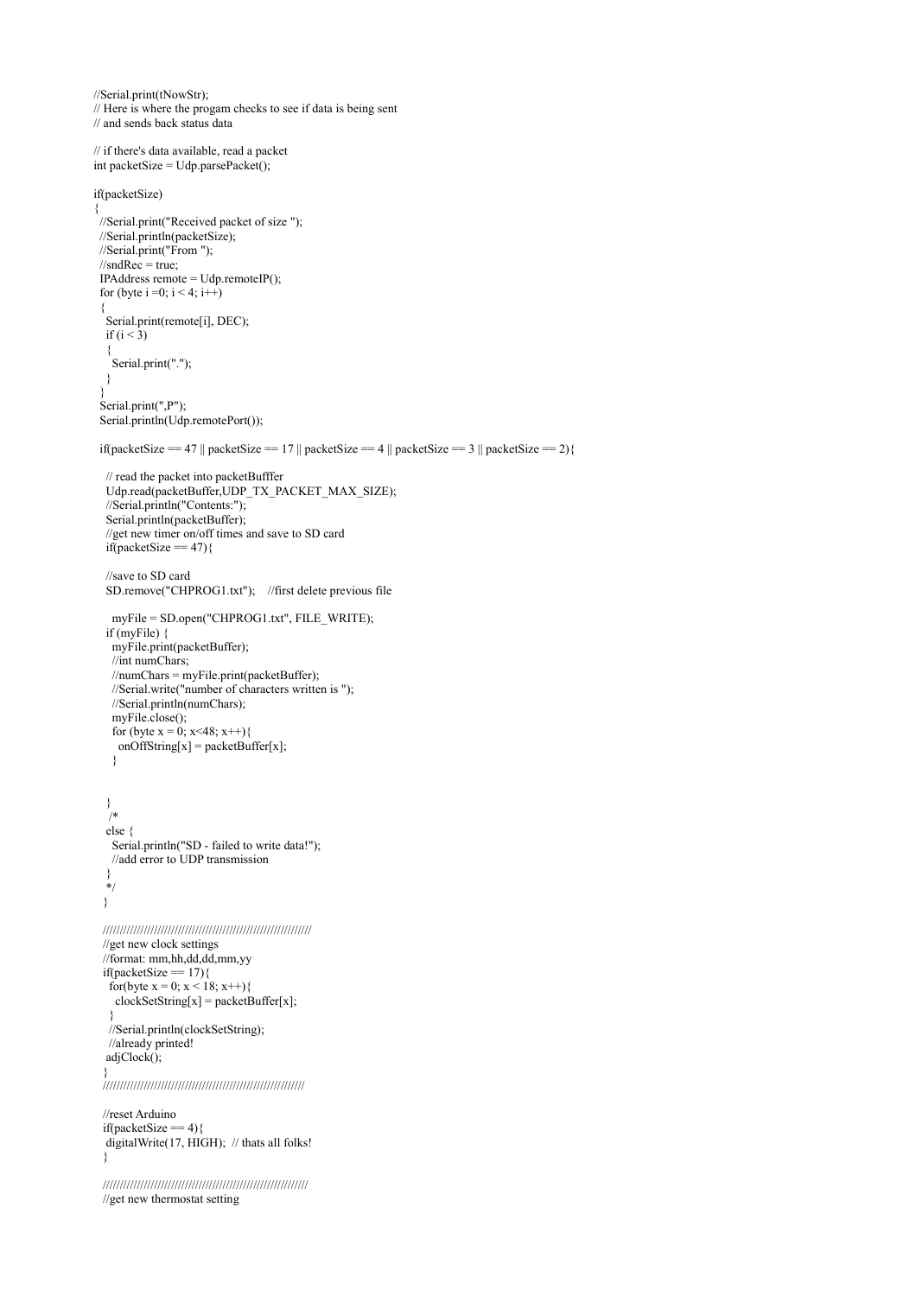//Serial.print(tNowStr); // Here is where the progam checks to see if data is being sent // and sends back status data // if there's data available, read a packet int packetSize = Udp.parsePacket(); if(packetSize) { //Serial.print("Received packet of size "); //Serial.println(packetSize); //Serial.print("From ");  $//\text{sndRec} = \text{true}$ ; IPAddress remote  $=$  Udp.remoteIP(); for (byte i =0;  $i < 4$ ; i++)  $\rightarrow$  Serial.print(remote[i], DEC); if  $(i < 3)$  { Serial.print("."); } } Serial.print(",P"); Serial.println(Udp.remotePort()); if(packetSize == 47 || packetSize == 17 || packetSize == 4 || packetSize == 3 || packetSize == 2){  $\prime\prime$  read the packet into packet<br>Bufffer Udp.read(packetBuffer,UDP\_TX\_PACKET\_MAX\_SIZE); //Serial.println("Contents:"); Serial.println(packetBuffer); //get new timer on/off times and save to SD card if(packetSize ==  $47$ ){ //save to SD card SD.remove("CHPROG1.txt"); //first delete previous file myFile = SD.open("CHPROG1.txt", FILE\_WRITE); if (myFile) { myFile.print(packetBuffer); //int numChars;  $1$ //numChars = myFile.print(packetBuffer); //Serial.write("number of characters written is "); //Serial.println(numChars); myFile.close(); for (byte  $x = 0$ ;  $x < 48$ ;  $x + 1$ ) onOffString[x] = packetBuffer[x]; } } /\* else { Serial.println("SD - failed to write data!"); //add error to UDP transmission } \*/ } ///////////////////////////////////////////////////////////// //get new clock settings //format: mm,hh,dd,dd,mm,yy if(packetSize ==  $17)$ { for(byte x = 0; x < 18; x++){  $clockSetString[x] = packetBuffer[x];$  } //Serial.println(clockSetString); //already printed! adjClock(); } /////////////////////////////////////////////////////////// //reset Arduino if(packetSize  $== 4$ ){ digitalWrite(17, HIGH); // thats all folks! } //////////////////////////////////////////////////////////// //get new thermostat setting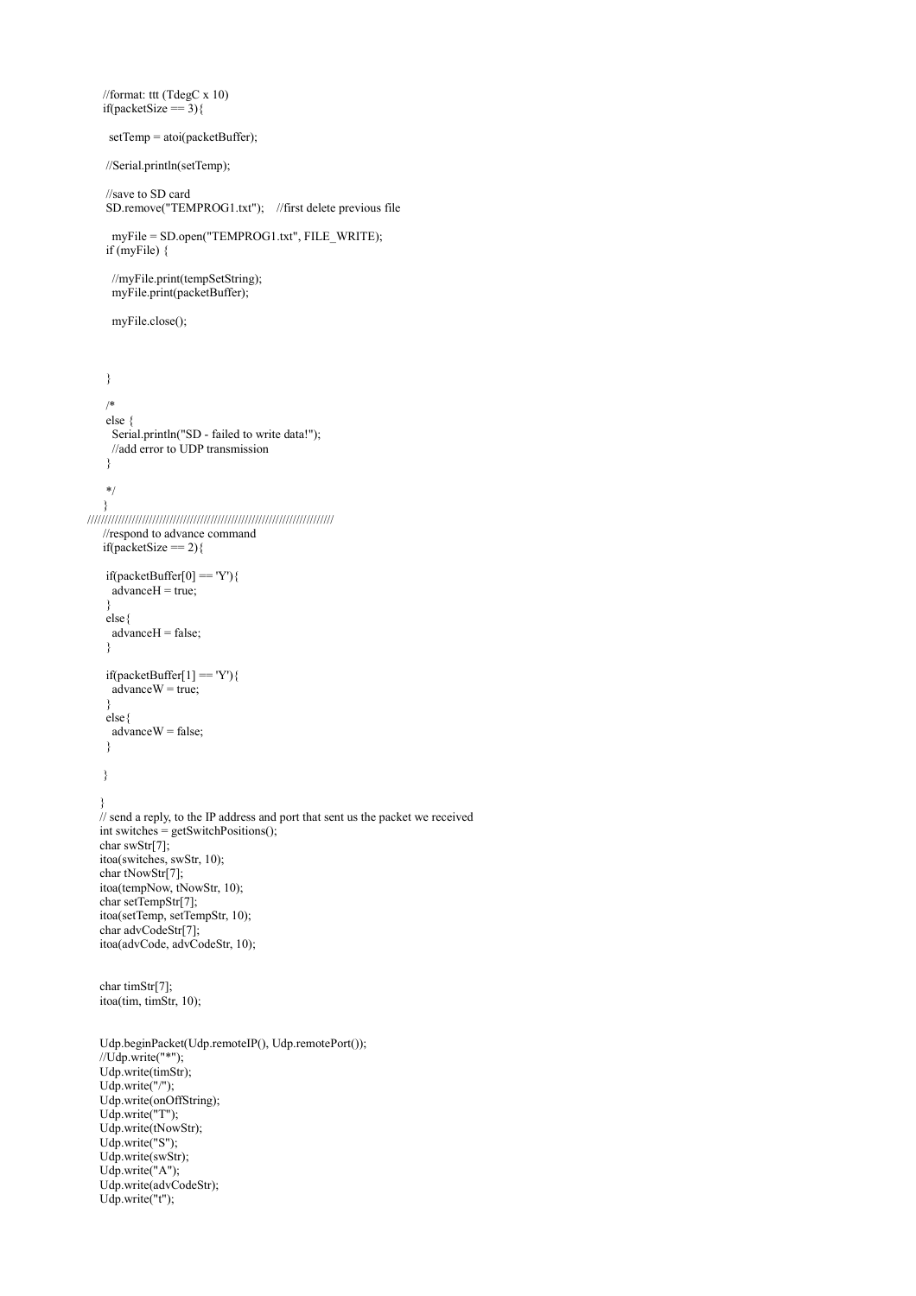```
 //format: ttt (TdegC x 10)
   if(packetSize == 3){
    setTemp = atoi(packetBuffer);
    //Serial.println(setTemp);
    //save to SD card
    SD.remove("TEMPROG1.txt"); //first delete previous file
     myFile = SD.open("TEMPROG1.txt", FILE_WRITE);
    if (myFile) {
     //myFile.print(tempSetString);
     myFile.print(packetBuffer);
     myFile.close();
     } 
    /*
    else {
    Serial.println("SD - failed to write data!");
     //add error to UDP transmission
    }
    */
    }
////////////////////////////////////////////////////////////////////////
    //respond to advance command
   if(packetSize == 2){
    if(packetBuffer[0] == 'Y'){
    advanceH = true; }
    else{
    advanceH = false; }
    if(packetBuffer[1] == 'Y'){
    advanceW = true; }
    else{
    advanceW = false; }
    }
 }
   // send a reply, to the IP address and port that sent us the packet we received
   int switches = getSwitchPositions();
   char swStr[7];
   itoa(switches, swStr, 10);
  char tNowStr[7];
   itoa(tempNow, tNowStr, 10);
  char setTempStr[7];
   itoa(setTemp, setTempStr, 10);
  char advCodeStr[7];
   itoa(advCode, advCodeStr, 10);
   char timStr[7];
   itoa(tim, timStr, 10);
   Udp.beginPacket(Udp.remoteIP(), Udp.remotePort());
   //Udp.write("*");
   Udp.write(timStr);
 Udp.write("/");
 Udp.write(onOffString);
 Udp.write("T");
 Udp.write(tNowStr);
   Udp.write("S");
   Udp.write(swStr);
 Udp.write("A");
 Udp.write(advCodeStr);
   Udp.write("t");
```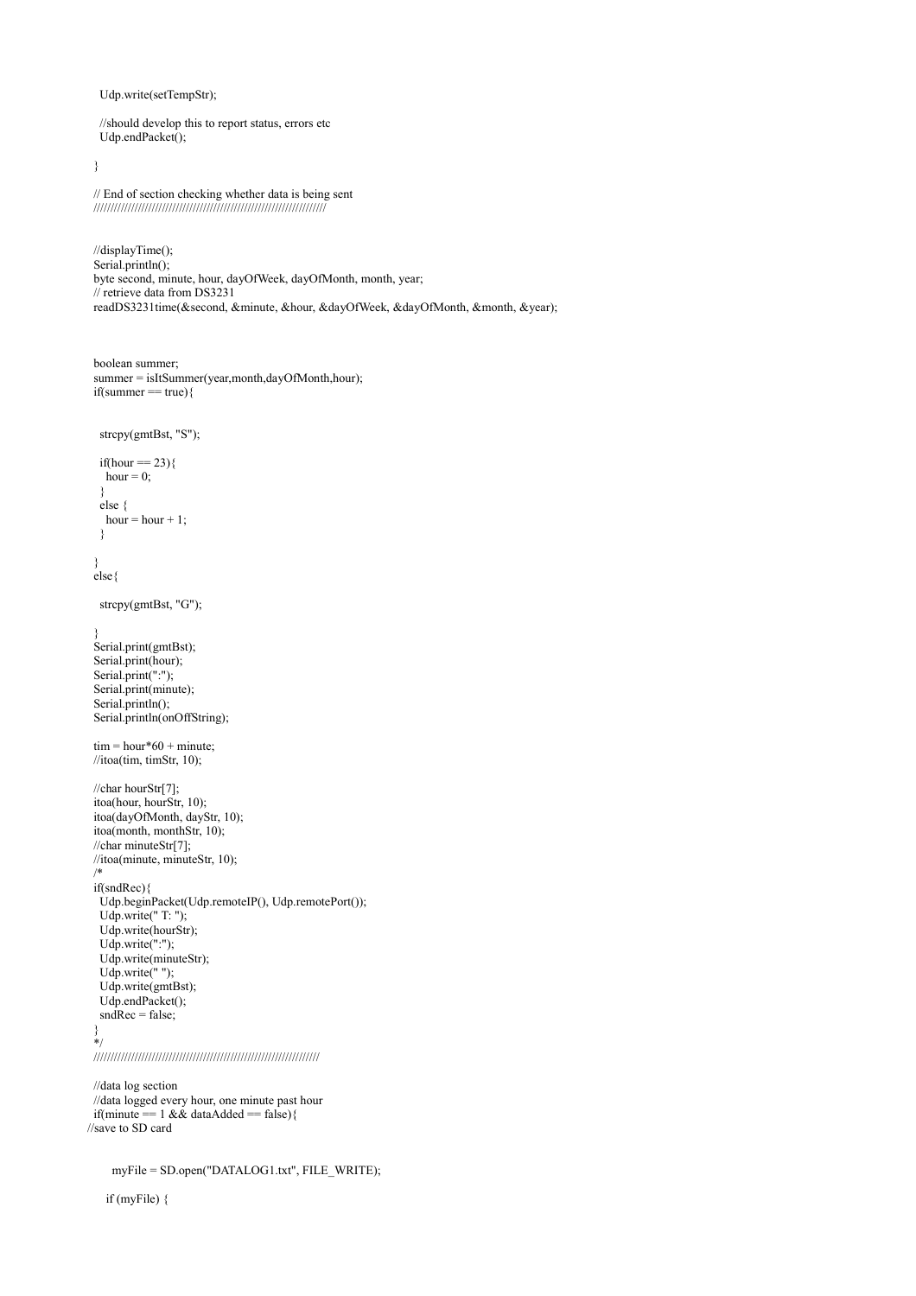Udp.write(setTempStr);

 //should develop this to report status, errors etc Udp.endPacket();

}

 // End of section checking whether data is being sent ////////////////////////////////////////////////////////////////////

 //displayTime(); Serial.println $()$ ; byte second, minute, hour, dayOfWeek, dayOfMonth, month, year; // retrieve data from DS3231 readDS3231time(&second, &minute, &hour, &dayOfWeek, &dayOfMonth, &month, &year);

```
 boolean summer;
 summer = isItSummer(year,month,dayOfMonth,hour);
if(summer == true){
   strcpy(gmtBst, "S");
  if(hour == 23)hour = 0;
 }
   else {
  hour = hour + 1;
   }
 }
 else{
   strcpy(gmtBst, "G");
 }
  Serial.print(gmtBst);
 Serial.print(hour);
 Serial.print(":");
 Serial.print(minute);
Serial.println();
Serial.println(onOffString);
time = hour*60 + minute;//itoa(tim, timStr, 10);
 //char hourStr[7];
 itoa(hour, hourStr, 10);
 itoa(dayOfMonth, dayStr, 10);
 itoa(month, monthStr, 10);
 //char minuteStr[7];
 //itoa(minute, minuteStr, 10);
 /*
 if(sndRec){
   Udp.beginPacket(Udp.remoteIP(), Udp.remotePort());
  Udp.write(" T:");
  Udp.write(hourStr);
   Udp.write(":");
   Udp.write(minuteStr);
  Udp.write(" ");
   Udp.write(gmtBst);
   Udp.endPacket();
  sndRec = false; }
  */
 //////////////////////////////////////////////////////////////////
 //data log section
```

```
 //data logged every hour, one minute past hour
 if(minute = 1 & & dataAdded = false){
//save to SD card
```
myFile = SD.open("DATALOG1.txt", FILE\_WRITE);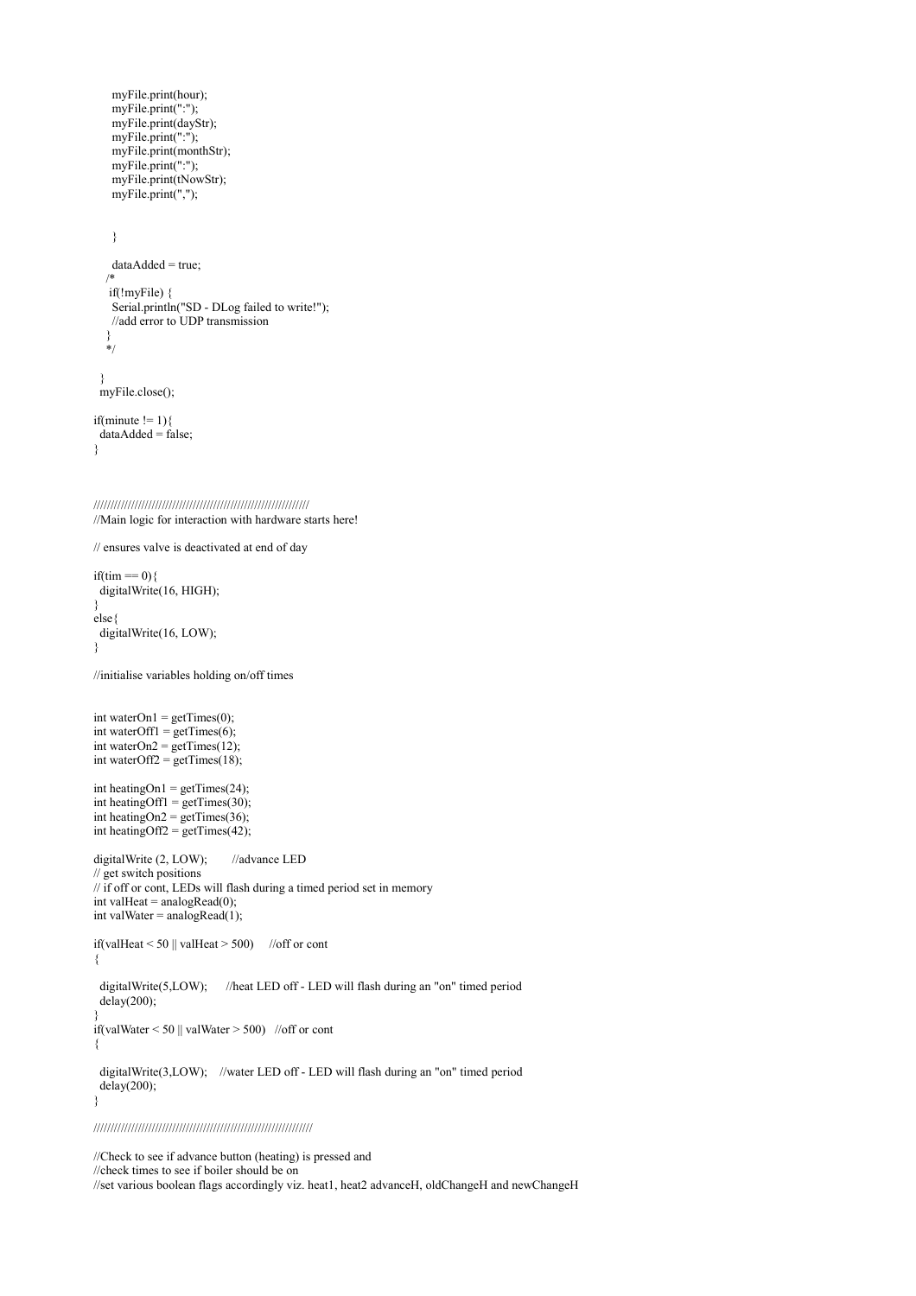```
 myFile.print(hour);
     myFile.print(":");
     myFile.print(dayStr);
     myFile.print(":");
     myFile.print(monthStr);
 myFile.print(":");
 myFile.print(tNowStr);
     myFile.print(",");
```
}

```
dataAdded = true; /*
    if(!myFile) {
     Serial.println("SD - DLog failed to write!");
     //add error to UDP transmission
\qquad \} */
   }
```
myFile.close();

if(minute  $!= 1$ ){  $dataAdded = false;$ }

 /////////////////////////////////////////////////////////////// //Main logic for interaction with hardware starts here!

// ensures valve is deactivated at end of day

 $if$ (tim = 0){ digitalWrite(16, HIGH); } else{ digitalWrite(16, LOW); }

//initialise variables holding on/off times

```
int waterOn1 = getTimes(0);int waterOff1 = getTimes(6);
int waterOn2 = getTimes(12);
int waterOff2 = getTimes(18);
int heatingOn1 = getTimes(24);
int heatingOff1 = getTimes(30);
int heatingOn2 = getTimes(36);
int heatingOff2 = getTimes(42);
digitalWrite (2, LOW); //advance LED
 // get switch positions
 // if off or cont, LEDs will flash during a timed period set in memory
int valHeat = analogRead(0);
int valWater = analogRead(1);
if(valHeat < 50 || valHeat > 500) //off or cont
 {
  digitalWrite(5,LOW); //heat LED off - LED will flash during an "on" timed period
  delay(200);
 } 
if(valWater \leq 50 || valWater > 500) //off or cont
  {
  digitalWrite(3,LOW); //water LED off - LED will flash during an "on" timed period
  delay(200);
 }
```
////////////////////////////////////////////////////////////////

 //Check to see if advance button (heating) is pressed and //check times to see if boiler should be on //set various boolean flags accordingly viz. heat1, heat2 advanceH, oldChangeH and newChangeH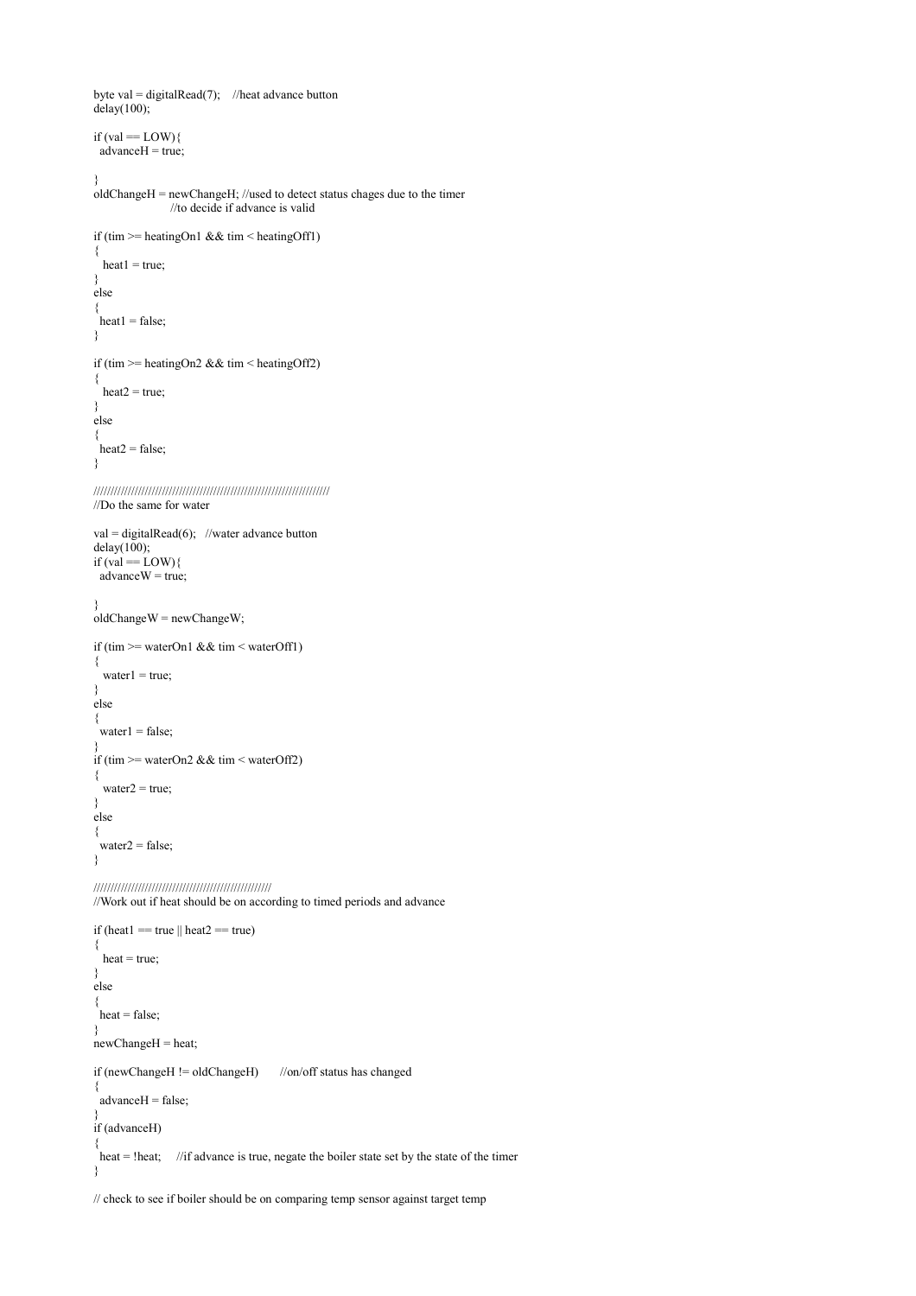```
byte val = digitalRead(7); //heat advance button
delay(100);if (val == LOW)\{\vec{a}dvanceH = \text{true};
 }
\alphaoldChangeH = newChangeH; //used to detect status chages due to the timer
                  //to decide if advance is valid
if (tim >= heatingOn1 && tim \le heatingOff1)
  { 
  heat1 = true;
  }
  else
  {
  heat1 = false; }
if (tim >= heatingOn2 && tim \le heatingOff2)
 {
  heat2 = true;
  }
 else
 {
  heat2 = false;
  }
 ///////////////////////////////////////////////////////////////////// 
 //Do the same for water
val = digitalRead(6); //water advance button
delay(100);if \text{val} = \text{LOW}}
 advanceW = true; }
 oldChangeW = newChangeW;
 if (tim >= waterOn1 && tim < waterOff1)
  {
  water1 = true;
  }
 else
  {
  water1 = false;
 }
 if (tim >= waterOn2 && tim \le waterOff2)
  {
  water2 = true;
 }
 else
  {
  water2 = false;
  }
 ////////////////////////////////////////////////////
 //Work out if heat should be on according to timed periods and advance
if (heat1 == true \parallel heat2 == true)
  {
   heat = true;
  }
 else
  {
  heat = false; }
newChangeH = heat;if (newChangeH ! = oldChangeH) //on/off status has changed
  {
  \alphadvanceH = false;
 }
  if (advanceH)
 {
  heat = !heat; //if advance is true, negate the boiler state set by the state of the timer
  }
```
// check to see if boiler should be on comparing temp sensor against target temp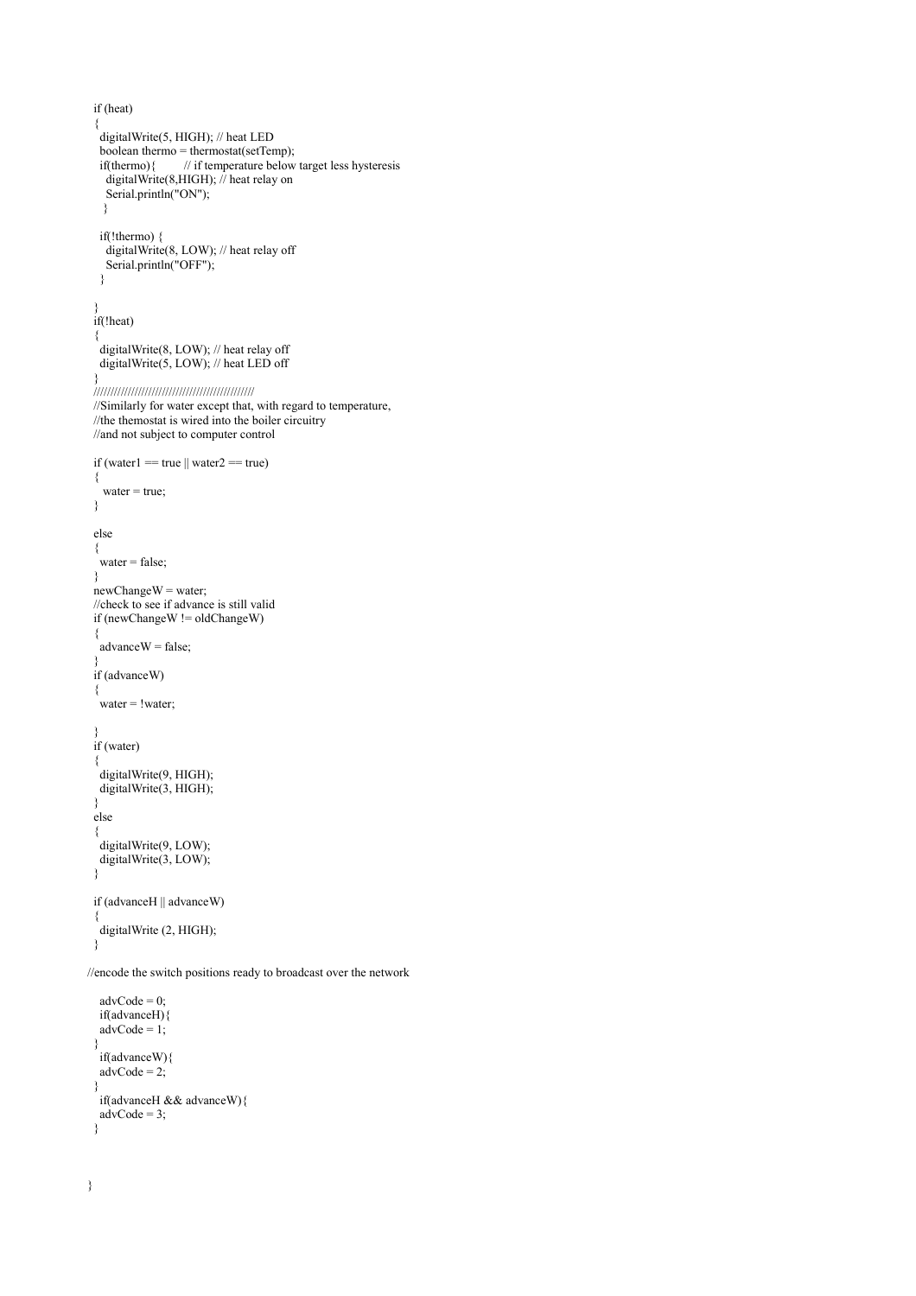```
 if (heat)
  {
   digitalWrite(5, HIGH); // heat LED
 boolean thermo = thermostat(setTemp);
 if(thermo){ // if temperature below target less hysteresis
    digitalWrite(8,HIGH); // heat relay on
    Serial.println("ON");
    }
  if(!thermo) {
    digitalWrite(8, LOW); // heat relay off
   Serial.println("OFF");
    }
  }
  if(!heat)
  {
   digitalWrite(8, LOW); // heat relay off
   digitalWrite(5, LOW); // heat LED off
 } 
  ///////////////////////////////////////////////
  //Similarly for water except that, with regard to temperature, 
  //the themostat is wired into the boiler circuitry
  //and not subject to computer control
 if (water1 == true \parallel water2 == true)
  {
   water = true;
  }
  else
  {
  water = false;
  }
  newChangeW = water;
  //check to see if advance is still valid
  if (newChangeW != oldChangeW)
  {
  advanceW = false; }
  if (advanceW)
  {
  water = !water; }
  if (water)
  {
   digitalWrite(9, HIGH);
   digitalWrite(3, HIGH);
 }
  else
  {
   digitalWrite(9, LOW);
   digitalWrite(3, LOW);
  } 
  if (advanceH || advanceW)
  {
   digitalWrite (2, HIGH);
  }
//encode the switch positions ready to broadcast over the network
  advCode = 0; if(advanceH){
  \angleadvCode = 1;
  }
```

```
\angleadvCode = 2:
 }
  if(advanceH && advanceW){
 \text{advCode} = 3;
 }
```
if(advanceW){